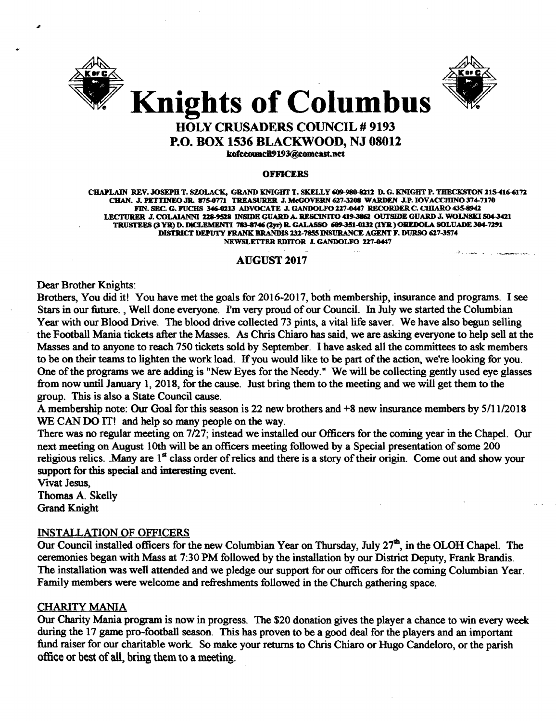



#### HOLY CRUSADERS COUNCIL # 9193 P.O. BOX 1536 BLACKWOOD, NJ 08012

kofccouncil9193@comcast.net

#### OFFICERS

CHAPLAIN REV. JOSEPH T. SZOLACK. GRAND KNIGHT T. SKELLY A9-980-8Z12 D. G. KNIGHT P. TBECKSTON 215416-6172 CHAN. J. PETTINEO JR. 875-0771 TREASURER J. McGOVERN 627-3208 WARDEN J.P. IOVACCHINO 374-7170 FIN. SEC. G. FUCHS 346-0213 ADVOCATE J. GANDOLFO 227-0447 RECORDER C. CHIARO 435-8942 LECTURER J. COLAIANNI 228-9528 INSIDE GUARD A. RESCINITO 419-3862 OUTSIDE GUARD J. WOLNSKI 504-3421 TRUSTEES (3YJl) D. DlCLEMENTI 713-8746 (2Jr) R. GALASSO Ql!9..35l-0132 (lYJl)OREDOLA SOLUADE 304-7291 DISTRICT DEPUTY FRANK BRANDIS 232-7855 INSURANCE AGENT F. DURSO 627-3574 NEWSLETTER EDITOR J. GANDOLFO 227-0447

#### **AUGUST 2017**

Dear Brother Knights:

Brothers, You did it! You have met the goals for 2016-2017, both membership, insurance and programs. I see Stars in our future. , Well done everyone. I'm very proud of our Council. In July we started the Columbian Year with our Blood Drive. The blood drive collected 73 pints, a vital life saver. We have also begun selling the Football Mania tickets after the Masses. As Chris Chiaro has said, we are asking everyone to help sell at the Masses and to anyone to reach 750 tickets sold by September. I have asked all the committees to ask members to be on their teams to lighten the work load. If you would like to be part of the action, we're looking for you. One of the programs we are adding is "New Eyes for the Needy." We will be collecting gently used eye glasses from now until January I, 2018, for the cause. Just bring them to the meeting and we will get them to the group. This is also a State Council cause.

A membership note: Our Goal for this season is 22 new brothers and +8 new insurance members by 5/11/2018 WE CAN DO IT! and help so many people on the way.

There was no regular meeting on 7/27; instead we installed our Officers for the coming year in the Chapel. Our next meeting on August 10th will be an officers meeting followed by a Special presentation of some 200 religious relics. Many are  $1<sup>st</sup>$  class order of relics and there is a story of their origin. Come out and show your support for this special and interesting event.

Vivat Jesus, Thomas A. Skelly Grand Knight

#### INSTALLATION OF OFFICERS

Our Council installed officers for the new Columbian Year on Thursday, July 27<sup>th</sup>, in the OLOH Chapel. The ceremonies began with Mass at 7:30 PM followed by the installation by our District Deputy, Frank Brandis. The installation was well attended and we pledge our support for our officers for the coming Columbian Year. Family members were welcome and refreshments followed in the Church gathering space.

#### CHARITY MANIA

Our Charity Mania program is now in progress. The \$20 donation gives the player a chance to win every week during the 17 game pro-football season. This has proven to be a good deal for the players and an important fund raiser for our charitable work. So make your returns to Chris Chiaro or Hugo Candeloro, or the parish office or best of all, bring them to a meeting.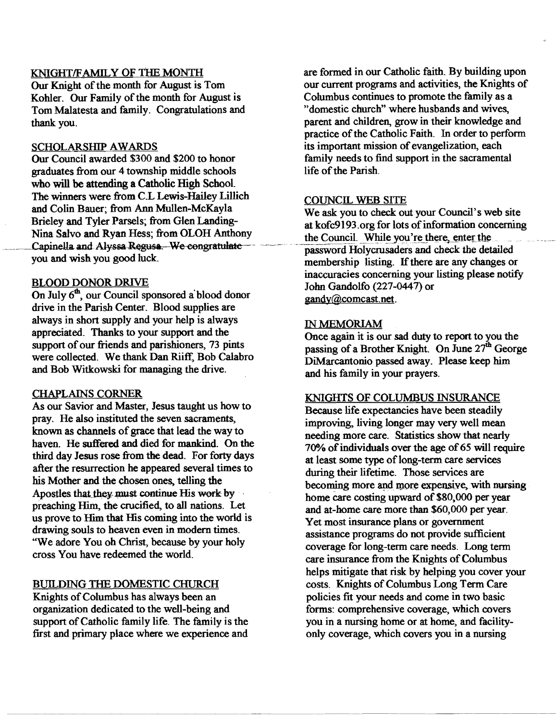#### KNIGHT/FAMILY OF THE MONTH

Our Knight of the month for August is Tom Kohler. Our Family of the month for August is Tom Malatesta and family. Congratulations and thank you.

#### SCHOLARSHIP AWARDS

Our Council awarded \$300 and \$200 to honor graduates from our 4 township middle schools who will be attending a Catholic High School. The winners were from C.L Lewis-Hailey Lillich and Colin Bauer; from Ann Mullen-McKayla Brieley and Tyler Parsels; from Glen Landing-Nina Salvo and Ryan Hess; from OLOH Anthony Capinella and Alyssa Regusa. We congratulate you and wish you good luck.

#### BLOOD DONOR DRIVE

On July 6<sup>th</sup>, our Council sponsored a blood donor drive in the Parish Center. Blood supplies are always in short supply and your help is always appreciated. Thanks to your support and the support of our friends and parishioners, 73 pints were collected. We thank Dan Riiff, Bob Calabro and Bob Witkowski for managing the drive.

#### CHAPLAINS CORNER

As our Savior and Master, Jesus taught us how to pray. He also instituted the seven sacraments, known as channels of grace that lead the way to haven. He suffered and died for mankind. On the third day Jesus rose from the dead. For forty days after the resurrection he appeared several times to his Mother and the chosen ones, telling the Apostles that they must continue His work by preaching Him, the crucified, to all nations. Let us prove to Him that His coming into the world is drawing souls to heaven even in modem times. "We adore You oh Christ, because by your holy cross You have redeemed the world.

#### BUILDING THE DOMESTIC CHURCH

Knights of Columbus has always been an organization dedicated to the well-being and support of Catholic family life. The family is the first and primary place where we experience and

are formed in our Catholic faith. By building upon our current programs and activities, the Knights of Columbus continues to promote the family as a "domestic church" where husbands and wives, parent and children, grow in their knowledge and practice of the Catholic Faith. In order to perform its important mission of evangelization, each family needs to find support in the sacramental life of the Parish.

#### COUNCIL WEB SITE

We ask you to check out your Council's web site at kofc9193.org for lots of information concerning the Council. While you're there, enter the password Holycrusaders and check the detailed membership listing. If there are any changes or inaccuracies concerning your listing please notify John Gandolfo (227-0447) or gandy@comcast.net.

#### IN MEMORIAM

Once again it is our sad duty to report to you the passing of a Brother Knight. On June 27<sup>th</sup> George DiMarcantonio passed away. Please keep him and his family in your prayers.

#### KNIGHTS OF COLUMBUS INSURANCE

Because life expectancies have been steadily improving, living longer may very well mean needing more care. Statistics show that nearly 70% of individuals over the age of 65 will require at least some type of long-term care services during their lifetime. Those services are becoming more and more expensive, with nursing home care costing upward of \$80,000 per year and at-home care more than \$60,000 per year. Yet most insurance plans or government assistance programs do not provide sufficient coverage for long-term care needs. Long term care insurance from the Knights of Columbus helps mitigate that risk by helping you cover your costs. Knights of Columbus Long Term Care policies fit your needs and come in two basic forms: comprehensive coverage, which covers you in a nursing home or at home, and facilityonly coverage, which covers you in a nursing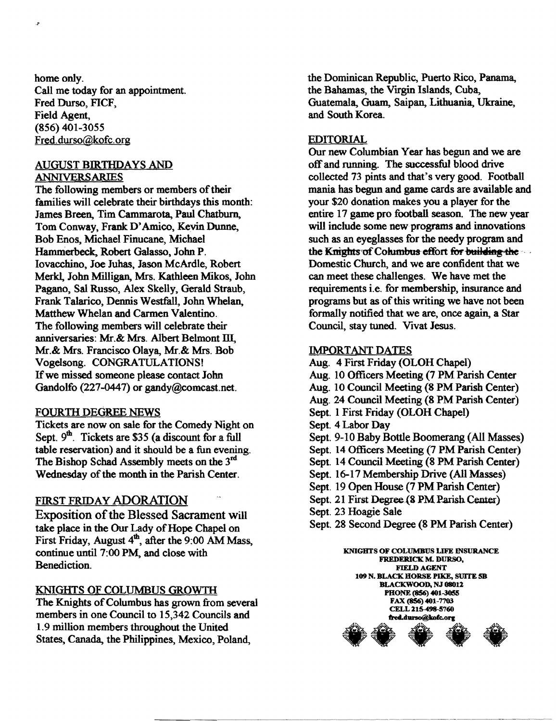home only. Call me today for an appointment. Fred Durso, FICF, Field Agent, (856) 401-3055 Fred.durso@kofc.org

ی

#### AUGUST BIRTHDAYS AND ANNIVERSARIES

The following members or members of their families will celebrate their birthdays this month: James Breen, Tim Cammarota, Paul Chatburn, Tom Conway, Frank D'Amico, Kevin Dunne, Bob Enos. Michael Finucane. Michael Hammerbeck, Robert Galasso, John P. Iovacchino, Joe Juhas, Jason McArdle, Robert Merkl, John Milligan, Mrs. Kathleen Mikos, John Pagano, Sal Russo, Alex Skelly, Gerald Straub, Frank Talarico, Dennis Westfall, John Whelan, Matthew Whelan and Carmen Valentino. The following members will celebrate their anniversaries: Mr.& Mrs. Albert Belmont III, Mr.& Mrs. Francisco Olaya, Mr.& Mrs. Bob Vogelsong. CONGRATULATIONS! Ifwe missed someone please contact John Gandolfo (227-0447) or gandy@comcast.net.

#### FOURTII DEGREE NEWS

Tickets are now on sale for the Comedy Night on Sept.  $9^{\text{th}}$ . Tickets are \$35 (a discount for a full table reservation) and it should be a fun evening. The Bishop Schad Assembly meets on the 3<sup>rd</sup> Wednesday of the month in the Parish Center.

#### FIRST FRIDAY ADORATION

Exposition of the Blessed Sacrament will take place in the Our Lady of Hope Chapel on First Friday, August  $4<sup>th</sup>$ , after the 9:00 AM Mass, continue until 7:00 PM, and close with Benediction.

#### KNIGHTS OF COLUMBUS GROWTII

The Knights of Columbus has grown from several members in one Council to 15,342 Councils and 1.9 million members throughout the United States, Canada, the Philippines, Mexico, Poland,

the Dominican Republic, Puerto Rico, Panama, the Bahamas, the Virgin Islands, Cuba, Guatemala, Guam, Saipan, Lithuania, Ukraine, and South Korea.

#### EDITORIAL

Our new Columbian Vear has begun and we are offand running. The successful blood drive collected 73 pints and that's very good. Football mania has begun and game cards are available and your \$20 donation makes you a player for the entire 17 game pro football season. The new year will include some new·programs and innovations such as an eyeglasses for the needy program and the Knights of Columbus effort for building the Domestic Church, and we are confident that we can meet these challenges. We have met the requirements i.e. for membership, insurance and programs but as of this writing we have not been formally notified that we are, once again, a Star Council, stay tuned. Vivat Jesus.

#### IMPORTANT DATES

Aug. 4 First Friday (OLOH Chapel) Aug. 10 Officers Meeting (7 PM Parish Center Aug. 10 Council Meeting (8 PM Parish Center) Aug. 24 Council Meeting (8 PM Parish Center) Sept. 1 First Friday (OLOH Chapel) Sept. 4 Labor Day Sept. 9-10 Baby Bottle Boomerang (All Masses) Sept. 14 Officers Meeting (7 PM Parish Center) Sept. 14 Council Meeting (8 PM Parish Center) Sept. 16-17 Membership Drive (All Masses) Sept. 19 Open House (7 PM Parish Center) Sept. 21 First Degree. (8 PM Parish Center) Sept. 23 Hoagie Sale Sept. 28 Second Degree (8 PM Parish Center)